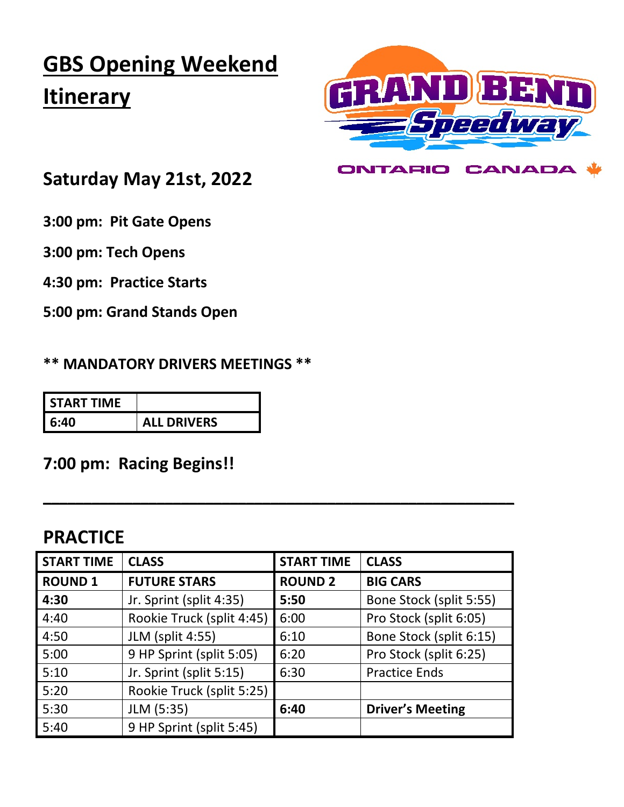# **GBS Opening Weekend Itinerary**



**CANADA** 

**ONTARIO** 

## **Saturday May 21st, 2022**

**3:00 pm: Pit Gate Opens** 

**3:00 pm: Tech Opens** 

**4:30 pm: Practice Starts**

**5:00 pm: Grand Stands Open**

**\*\* MANDATORY DRIVERS MEETINGS \*\***

| I START TIME |                    |
|--------------|--------------------|
| l 6:40       | <b>ALL DRIVERS</b> |

#### **7:00 pm: Racing Begins!!**

### **PRACTICE**

| <b>START TIME</b> | <b>CLASS</b>              | <b>START TIME</b> | <b>CLASS</b>            |
|-------------------|---------------------------|-------------------|-------------------------|
| <b>ROUND 1</b>    | <b>FUTURE STARS</b>       | <b>ROUND 2</b>    | <b>BIG CARS</b>         |
| 4:30              | Jr. Sprint (split 4:35)   | 5:50              | Bone Stock (split 5:55) |
| 4:40              | Rookie Truck (split 4:45) | 6:00              | Pro Stock (split 6:05)  |
| 4:50              | <b>JLM</b> (split 4:55)   | 6:10              | Bone Stock (split 6:15) |
| 5:00              | 9 HP Sprint (split 5:05)  | 6:20              | Pro Stock (split 6:25)  |
| 5:10              | Jr. Sprint (split 5:15)   | 6:30              | <b>Practice Ends</b>    |
| 5:20              | Rookie Truck (split 5:25) |                   |                         |
| 5:30              | JLM (5:35)                | 6:40              | <b>Driver's Meeting</b> |
| 5:40              | 9 HP Sprint (split 5:45)  |                   |                         |

**\_\_\_\_\_\_\_\_\_\_\_\_\_\_\_\_\_\_\_\_\_\_\_\_\_\_\_\_\_\_\_\_\_\_\_\_\_\_\_\_\_\_\_\_\_\_\_\_\_\_\_\_\_\_\_\_\_\_**